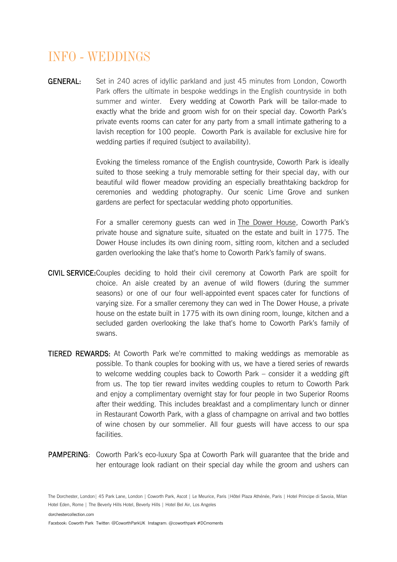## *INFO - WEDDINGS*

GENERAL: Set in 240 acres of idyllic parkland and just 45 minutes from London, Coworth Park offers the ultimate in bespoke weddings in the English countryside in both summer and winter. Every wedding at Coworth Park will be tailor-made to exactly what the bride and groom wish for on their special day. Coworth Park's private events rooms can cater for any party from a small intimate gathering to a lavish reception for 100 people. Coworth Park is available for exclusive hire for wedding parties if required (subject to availability).

> Evoking the timeless romance of the English countryside, Coworth Park is ideally suited to those seeking a truly memorable setting for their special day, with our beautiful wild flower meadow providing an especially breathtaking backdrop for ceremonies and wedding photography. Our scenic Lime Grove and sunken gardens are perfect for spectacular wedding photo opportunities.

> For a smaller ceremony guests can wed in [The Dower House](http://www.dorchestercollection.com/en/38/ascot-england/coworth-park/room/the-dower-house/), Coworth Park's private house and signature suite, situated on the estate and built in 1775. The Dower House includes its own dining room, sitting room, kitchen and a secluded garden overlooking the lake that's home to Coworth Park's family of swans.

- CIVIL SERVICE: Couples deciding to hold their civil ceremony at Coworth Park are spoilt for choice. An aisle created by an avenue of wild flowers (during the summer seasons) or one of our four well-appointed event spaces cater for functions of varying size. For a smaller ceremony they can wed in The Dower House, a private house on the estate built in 1775 with its own dining room, lounge, kitchen and a secluded garden overlooking the lake that's home to Coworth Park's family of swans.
- TIERED REWARDS: At Coworth Park we're committed to making weddings as memorable as possible. To thank couples for booking with us, we have a tiered series of rewards to welcome wedding couples back to Coworth Park – consider it a wedding gift from us. The top tier reward invites wedding couples to return to Coworth Park and enjoy a complimentary overnight stay for four people in two Superior Rooms after their wedding. This includes breakfast and a complimentary lunch or dinner in Restaurant Coworth Park, with a glass of champagne on arrival and two bottles of wine chosen by our sommelier. All four guests will have access to our spa facilities.
- PAMPERING: Coworth Park's eco-luxury Spa at Coworth Park will guarantee that the bride and her entourage look radiant on their special day while the groom and ushers can

The Dorchester, London | 45 Park Lane, London | Coworth Park, Ascot | Le Meurice, Paris | Hôtel Plaza Athénée, Paris | Hotel Principe di Savoia, Milan Hotel Eden, Rome | The Beverly Hills Hotel, Beverly Hills | Hotel Bel Air, Los Angeles

[dorchestercollection.com](http://www.dorchestercollection.com/)

Facebook: Coworth ParkTwitter: @CoworthParkUKInstagram: @coworthpark #DCmoments